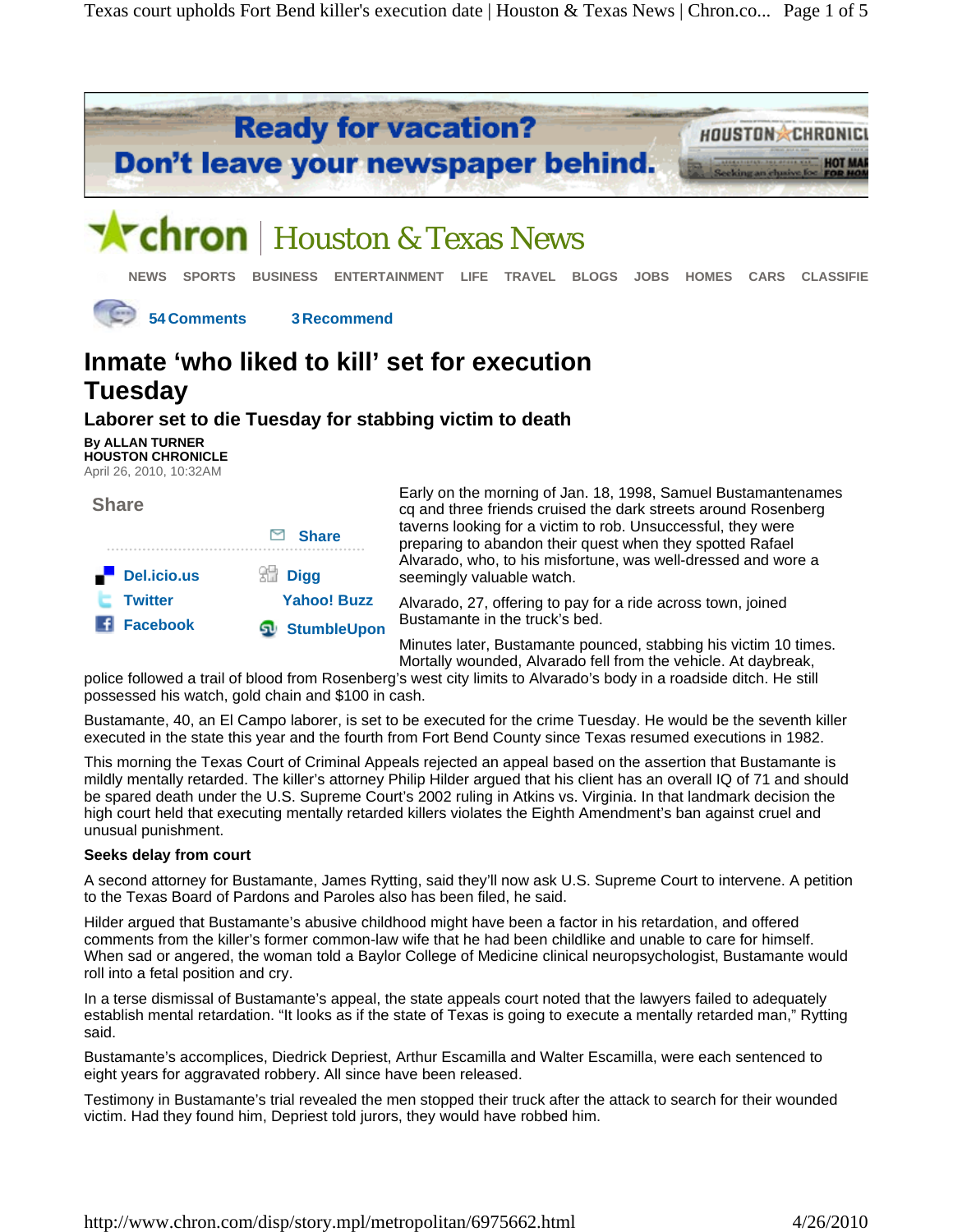

# **Inmate 'who liked to kill' set for execution Tuesday**

### **Laborer set to die Tuesday for stabbing victim to death**

**By ALLAN TURNER HOUSTON CHRONICLE** April 26, 2010, 10:32AM

| <b>Share</b>                         | $\Box$ Share                                      | Early on the morning of Jan. 18, 1998, Samuel Bustamantenames<br>cq and three friends cruised the dark streets around Rosenberg<br>taverns looking for a victim to rob. Unsuccessful, they were |
|--------------------------------------|---------------------------------------------------|-------------------------------------------------------------------------------------------------------------------------------------------------------------------------------------------------|
| $\blacksquare$ Del.icio.us           | $\mathbb{S}^{\mathbb{N}}$ Digg                    | preparing to abandon their quest when they spotted Rafael<br>Alvarado, who, to his misfortune, was well-dressed and wore a<br>seemingly valuable watch.                                         |
| <b>Twitter</b><br><b>Fi</b> Facebook | <b>Yahoo! Buzz</b><br><b><u>D</u></b> StumbleUpon | Alvarado, 27, offering to pay for a ride across town, joined<br>Bustamante in the truck's bed.                                                                                                  |
|                                      |                                                   | Minutes later. Bustamante pounced, stabbing his victim 10 times.                                                                                                                                |

Minutes later, Bustamante pounced, stabbing his victim 10 times. Mortally wounded, Alvarado fell from the vehicle. At daybreak,

police followed a trail of blood from Rosenberg's west city limits to Alvarado's body in a roadside ditch. He still possessed his watch, gold chain and \$100 in cash.

Bustamante, 40, an El Campo laborer, is set to be executed for the crime Tuesday. He would be the seventh killer executed in the state this year and the fourth from Fort Bend County since Texas resumed executions in 1982.

This morning the Texas Court of Criminal Appeals rejected an appeal based on the assertion that Bustamante is mildly mentally retarded. The killer's attorney Philip Hilder argued that his client has an overall IQ of 71 and should be spared death under the U.S. Supreme Court's 2002 ruling in Atkins vs. Virginia. In that landmark decision the high court held that executing mentally retarded killers violates the Eighth Amendment's ban against cruel and unusual punishment.

#### **Seeks delay from court**

A second attorney for Bustamante, James Rytting, said they'll now ask U.S. Supreme Court to intervene. A petition to the Texas Board of Pardons and Paroles also has been filed, he said.

Hilder argued that Bustamante's abusive childhood might have been a factor in his retardation, and offered comments from the killer's former common-law wife that he had been childlike and unable to care for himself. When sad or angered, the woman told a Baylor College of Medicine clinical neuropsychologist, Bustamante would roll into a fetal position and cry.

In a terse dismissal of Bustamante's appeal, the state appeals court noted that the lawyers failed to adequately establish mental retardation. "It looks as if the state of Texas is going to execute a mentally retarded man," Rytting said.

Bustamante's accomplices, Diedrick Depriest, Arthur Escamilla and Walter Escamilla, were each sentenced to eight years for aggravated robbery. All since have been released.

Testimony in Bustamante's trial revealed the men stopped their truck after the attack to search for their wounded victim. Had they found him, Depriest told jurors, they would have robbed him.